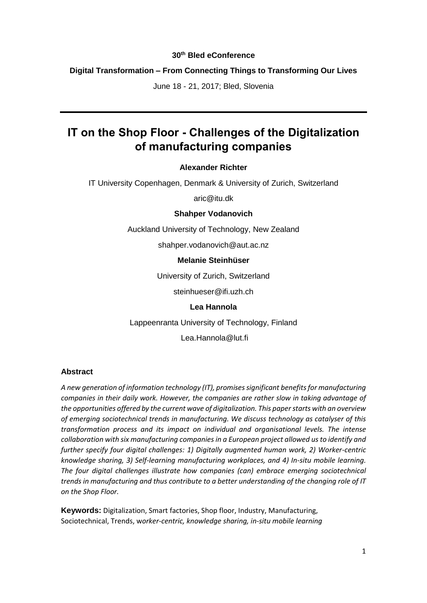### **30th Bled eConference**

### **Digital Transformation – From Connecting Things to Transforming Our Lives**

June 18 - 21, 2017; Bled, Slovenia

# **IT on the Shop Floor - Challenges of the Digitalization of manufacturing companies**

### **Alexander Richter**

IT University Copenhagen, Denmark & University of Zurich, Switzerland

aric@itu.dk

#### **Shahper Vodanovich**

Auckland University of Technology, New Zealand

shahper.vodanovich@aut.ac.nz

### **Melanie Steinhüser**

University of Zurich, Switzerland

steinhueser@ifi.uzh.ch

### **Lea Hannola**

Lappeenranta University of Technology, Finland

Lea.Hannola@lut.fi

### **Abstract**

*A new generation of information technology (IT), promises significant benefitsfor manufacturing companies in their daily work. However, the companies are rather slow in taking advantage of the opportunities offered by the current wave of digitalization. This paper starts with an overview of emerging sociotechnical trends in manufacturing. We discuss technology as catalyser of this transformation process and its impact on individual and organisational levels. The intense collaboration with six manufacturing companies in a European project allowed us to identify and further specify four digital challenges: 1) Digitally augmented human work, 2) Worker-centric knowledge sharing, 3) Self-learning manufacturing workplaces, and 4) In-situ mobile learning. The four digital challenges illustrate how companies (can) embrace emerging sociotechnical trends in manufacturing and thus contribute to a better understanding of the changing role of IT on the Shop Floor.*

**Keywords:** Digitalization, Smart factories, Shop floor, Industry, Manufacturing, Sociotechnical, Trends, w*orker-centric, knowledge sharing, in-situ mobile learning*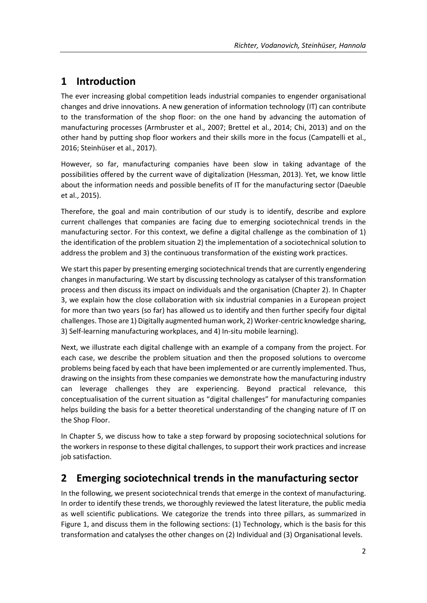# **1 Introduction**

The ever increasing global competition leads industrial companies to engender organisational changes and drive innovations. A new generation of information technology (IT) can contribute to the transformation of the shop floor: on the one hand by advancing the automation of manufacturing processes (Armbruster et al., 2007; Brettel et al., 2014; Chi, 2013) and on the other hand by putting shop floor workers and their skills more in the focus (Campatelli et al., 2016; Steinhüser et al., 2017).

However, so far, manufacturing companies have been slow in taking advantage of the possibilities offered by the current wave of digitalization (Hessman, 2013). Yet, we know little about the information needs and possible benefits of IT for the manufacturing sector (Daeuble et al., 2015).

Therefore, the goal and main contribution of our study is to identify, describe and explore current challenges that companies are facing due to emerging sociotechnical trends in the manufacturing sector. For this context, we define a digital challenge as the combination of 1) the identification of the problem situation 2) the implementation of a sociotechnical solution to address the problem and 3) the continuous transformation of the existing work practices.

We start this paper by presenting emerging sociotechnical trends that are currently engendering changes in manufacturing. We start by discussing technology as catalyser of this transformation process and then discuss its impact on individuals and the organisation (Chapter 2). In Chapter 3, we explain how the close collaboration with six industrial companies in a European project for more than two years (so far) has allowed us to identify and then further specify four digital challenges. Those are 1) Digitally augmented human work, 2) Worker-centric knowledge sharing, 3) Self-learning manufacturing workplaces, and 4) In-situ mobile learning).

Next, we illustrate each digital challenge with an example of a company from the project. For each case, we describe the problem situation and then the proposed solutions to overcome problems being faced by each that have been implemented or are currently implemented. Thus, drawing on the insights from these companies we demonstrate how the manufacturing industry can leverage challenges they are experiencing. Beyond practical relevance, this conceptualisation of the current situation as "digital challenges" for manufacturing companies helps building the basis for a better theoretical understanding of the changing nature of IT on the Shop Floor.

In Chapter 5, we discuss how to take a step forward by proposing sociotechnical solutions for the workers in response to these digital challenges, to support their work practices and increase job satisfaction.

# **2 Emerging sociotechnical trends in the manufacturing sector**

In the following, we present sociotechnical trends that emerge in the context of manufacturing. In order to identify these trends, we thoroughly reviewed the latest literature, the public media as well scientific publications. We categorize the trends into three pillars, as summarized in Figure 1, and discuss them in the following sections: (1) Technology, which is the basis for this transformation and catalyses the other changes on (2) Individual and (3) Organisational levels.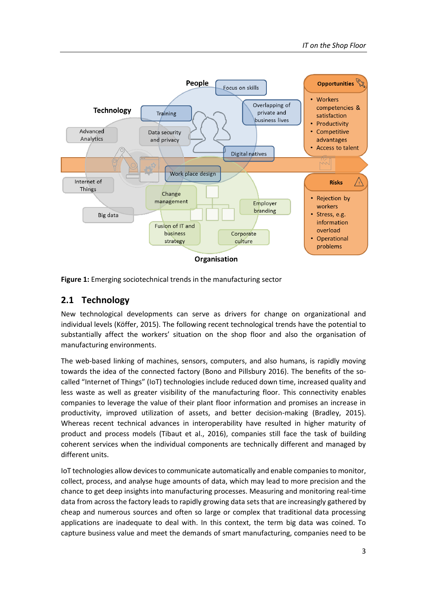

**Figure 1:** Emerging sociotechnical trends in the manufacturing sector

## **2.1 Technology**

New technological developments can serve as drivers for change on organizational and individual levels (Köffer, 2015). The following recent technological trends have the potential to substantially affect the workers' situation on the shop floor and also the organisation of manufacturing environments.

The web-based linking of machines, sensors, computers, and also humans, is rapidly moving towards the idea of the connected factory (Bono and Pillsbury 2016). The benefits of the socalled "Internet of Things" (IoT) technologies include reduced down time, increased quality and less waste as well as greater visibility of the manufacturing floor. This connectivity enables companies to leverage the value of their plant floor information and promises an increase in productivity, improved utilization of assets, and better decision-making (Bradley, 2015). Whereas recent technical advances in interoperability have resulted in higher maturity of product and process models (Tibaut et al., 2016), companies still face the task of building coherent services when the individual components are technically different and managed by different units.

IoT technologies allow devices to communicate automatically and enable companiesto monitor, collect, process, and analyse huge amounts of data, which may lead to more precision and the chance to get deep insights into manufacturing processes. Measuring and monitoring real-time data from across the factory leads to rapidly growing data sets that are increasingly gathered by cheap and numerous sources and often so large or complex that traditional data processing applications are inadequate to deal with. In this context, the term big data was coined. To capture business value and meet the demands of smart manufacturing, companies need to be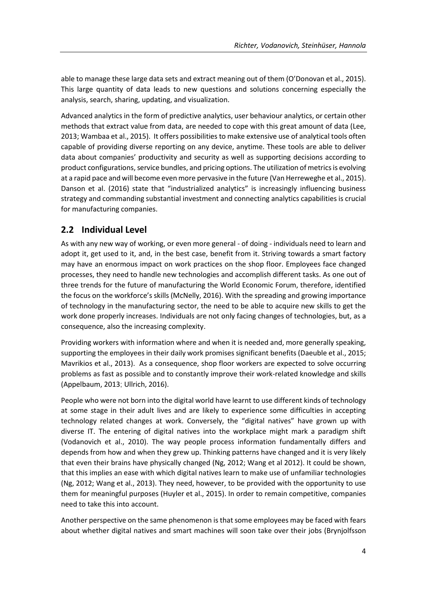able to manage these large data sets and extract meaning out of them (O'Donovan et al., 2015). This large quantity of data leads to new questions and solutions concerning especially the analysis, search, sharing, updating, and visualization.

Advanced analytics in the form of predictive analytics, user behaviour analytics, or certain other methods that extract value from data, are needed to cope with this great amount of data (Lee, 2013; Wambaa et al., 2015). It offers possibilities to make extensive use of analytical tools often capable of providing diverse reporting on any device, anytime. These tools are able to deliver data about companies' productivity and security as well as supporting decisions according to product configurations, service bundles, and pricing options. The utilization of metrics is evolving at a rapid pace and will become even more pervasive in the future (Van Herreweghe et al., 2015). Danson et al. (2016) state that "industrialized analytics" is increasingly influencing business strategy and commanding substantial investment and connecting analytics capabilities is crucial for manufacturing companies.

## **2.2 Individual Level**

As with any new way of working, or even more general - of doing - individuals need to learn and adopt it, get used to it, and, in the best case, benefit from it. Striving towards a smart factory may have an enormous impact on work practices on the shop floor. Employees face changed processes, they need to handle new technologies and accomplish different tasks. As one out of three trends for the future of manufacturing the World Economic Forum, therefore, identified the focus on the workforce's skills (McNelly, 2016). With the spreading and growing importance of technology in the manufacturing sector, the need to be able to acquire new skills to get the work done properly increases. Individuals are not only facing changes of technologies, but, as a consequence, also the increasing complexity.

Providing workers with information where and when it is needed and, more generally speaking, supporting the employees in their daily work promises significant benefits (Daeuble et al., 2015; Mavrikios et al., 2013). As a consequence, shop floor workers are expected to solve occurring problems as fast as possible and to constantly improve their work-related knowledge and skills (Appelbaum, 2013; Ullrich, 2016).

People who were not born into the digital world have learnt to use different kinds of technology at some stage in their adult lives and are likely to experience some difficulties in accepting technology related changes at work. Conversely, the "digital natives" have grown up with diverse IT. The entering of digital natives into the workplace might mark a paradigm shift (Vodanovich et al., 2010). The way people process information fundamentally differs and depends from how and when they grew up. Thinking patterns have changed and it is very likely that even their brains have physically changed (Ng, 2012; Wang et al 2012). It could be shown, that this implies an ease with which digital natives learn to make use of unfamiliar technologies (Ng, 2012; Wang et al., 2013). They need, however, to be provided with the opportunity to use them for meaningful purposes (Huyler et al., 2015). In order to remain competitive, companies need to take this into account.

Another perspective on the same phenomenon is that some employees may be faced with fears about whether digital natives and smart machines will soon take over their jobs (Brynjolfsson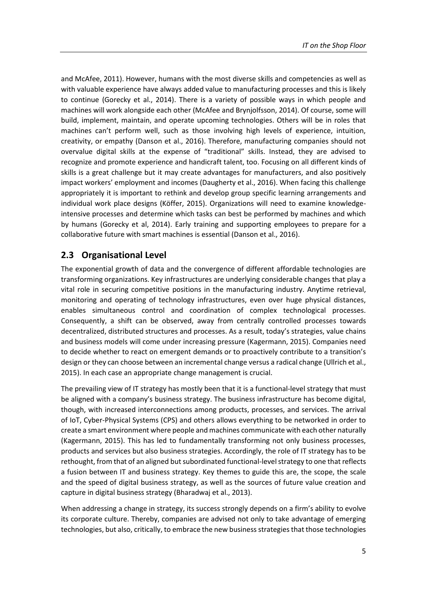and McAfee, 2011). However, humans with the most diverse skills and competencies as well as with valuable experience have always added value to manufacturing processes and this is likely to continue (Gorecky et al., 2014). There is a variety of possible ways in which people and machines will work alongside each other (McAfee and Brynjolfsson, 2014). Of course, some will build, implement, maintain, and operate upcoming technologies. Others will be in roles that machines can't perform well, such as those involving high levels of experience, intuition, creativity, or empathy (Danson et al., 2016). Therefore, manufacturing companies should not overvalue digital skills at the expense of "traditional" skills. Instead, they are advised to recognize and promote experience and handicraft talent, too. Focusing on all different kinds of skills is a great challenge but it may create advantages for manufacturers, and also positively impact workers' employment and incomes (Daugherty et al., 2016). When facing this challenge appropriately it is important to rethink and develop group specific learning arrangements and individual work place designs (Köffer, 2015). Organizations will need to examine knowledgeintensive processes and determine which tasks can best be performed by machines and which by humans (Gorecky et al, 2014). Early training and supporting employees to prepare for a collaborative future with smart machines is essential (Danson et al., 2016).

### **2.3 Organisational Level**

The exponential growth of data and the convergence of different affordable technologies are transforming organizations. Key infrastructures are underlying considerable changes that play a vital role in securing competitive positions in the manufacturing industry. Anytime retrieval, monitoring and operating of technology infrastructures, even over huge physical distances, enables simultaneous control and coordination of complex technological processes. Consequently, a shift can be observed, away from centrally controlled processes towards decentralized, distributed structures and processes. As a result, today's strategies, value chains and business models will come under increasing pressure (Kagermann, 2015). Companies need to decide whether to react on emergent demands or to proactively contribute to a transition's design or they can choose between an incremental change versus a radical change (Ullrich et al., 2015). In each case an appropriate change management is crucial.

The prevailing view of IT strategy has mostly been that it is a functional-level strategy that must be aligned with a company's business strategy. The business infrastructure has become digital, though, with increased interconnections among products, processes, and services. The arrival of IoT, Cyber-Physical Systems (CPS) and others allows everything to be networked in order to create a smart environment where people and machines communicate with each other naturally (Kagermann, 2015). This has led to fundamentally transforming not only business processes, products and services but also business strategies. Accordingly, the role of IT strategy has to be rethought, from that of an aligned but subordinated functional-level strategy to one that reflects a fusion between IT and business strategy. Key themes to guide this are, the scope, the scale and the speed of digital business strategy, as well as the sources of future value creation and capture in digital business strategy (Bharadwaj et al., 2013).

When addressing a change in strategy, its success strongly depends on a firm's ability to evolve its corporate culture. Thereby, companies are advised not only to take advantage of emerging technologies, but also, critically, to embrace the new business strategies that those technologies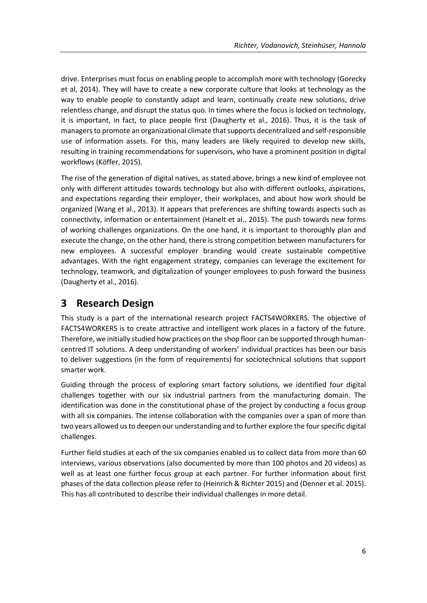drive. Enterprises must focus on enabling people to accomplish more with technology (Gorecky et al, 2014). They will have to create a new corporate culture that looks at technology as the way to enable people to constantly adapt and learn, continually create new solutions, drive relentless change, and disrupt the status quo. In times where the focus is locked on technology, it is important, in fact, to place people first (Daugherty et al., 2016). Thus, it is the task of managers to promote an organizational climate that supports decentralized and self-responsible use of information assets. For this, many leaders are likely required to develop new skills, resulting in training recommendations for supervisors, who have a prominent position in digital workflows (Köffer, 2015).

The rise of the generation of digital natives, as stated above, brings a new kind of employee not only with different attitudes towards technology but also with different outlooks, aspirations, and expectations regarding their employer, their workplaces, and about how work should be organized (Wang et al., 2013). It appears that preferences are shifting towards aspects such as connectivity, information or entertainment (Hanelt et al., 2015). The push towards new forms of working challenges organizations. On the one hand, it is important to thoroughly plan and execute the change, on the other hand, there is strong competition between manufacturers for new employees. A successful employer branding would create sustainable competitive advantages. With the right engagement strategy, companies can leverage the excitement for technology, teamwork, and digitalization of younger employees to push forward the business (Daugherty et al., 2016).

## **3 Research Design**

This study is a part of the international research project FACTS4WORKERS. The objective of FACTS4WORKERS is to create attractive and intelligent work places in a factory of the future. Therefore, we initially studied how practices on the shop floor can be supported through humancentred IT solutions. A deep understanding of workers' individual practices has been our basis to deliver suggestions (in the form of requirements) for sociotechnical solutions that support smarter work.

Guiding through the process of exploring smart factory solutions, we identified four digital challenges together with our six industrial partners from the manufacturing domain. The identification was done in the constitutional phase of the project by conducting a focus group with all six companies. The intense collaboration with the companies over a span of more than two years allowed us to deepen our understanding and to further explore the four specific digital challenges.

Further field studies at each of the six companies enabled us to collect data from more than 60 interviews, various observations (also documented by more than 100 photos and 20 videos) as well as at least one further focus group at each partner. For further information about first phases of the data collection please refer to (Heinrich & Richter 2015) and (Denner et al. 2015). This has all contributed to describe their individual challenges in more detail.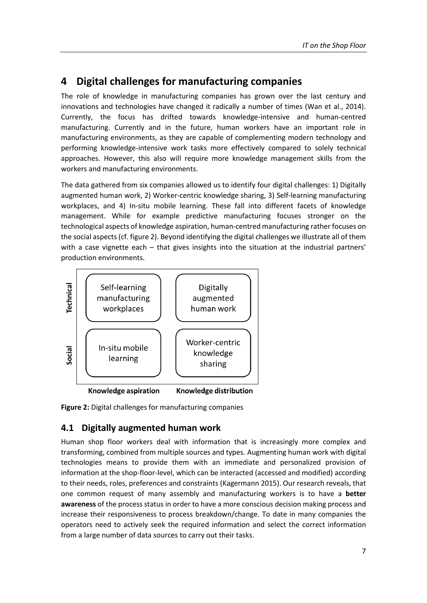## **4 Digital challenges for manufacturing companies**

The role of knowledge in manufacturing companies has grown over the last century and innovations and technologies have changed it radically a number of times (Wan et al., 2014). Currently, the focus has drifted towards knowledge-intensive and human-centred manufacturing. Currently and in the future, human workers have an important role in manufacturing environments, as they are capable of complementing modern technology and performing knowledge-intensive work tasks more effectively compared to solely technical approaches. However, this also will require more knowledge management skills from the workers and manufacturing environments.

The data gathered from six companies allowed us to identify four digital challenges: 1) Digitally augmented human work, 2) Worker-centric knowledge sharing, 3) Self-learning manufacturing workplaces, and 4) In-situ mobile learning. These fall into different facets of knowledge management. While for example predictive manufacturing focuses stronger on the technological aspects of knowledge aspiration, human-centred manufacturing rather focuses on the social aspects (cf. figure 2). Beyond identifying the digital challenges we illustrate all of them with a case vignette each – that gives insights into the situation at the industrial partners' production environments.



**Figure 2:** Digital challenges for manufacturing companies

### **4.1 Digitally augmented human work**

Human shop floor workers deal with information that is increasingly more complex and transforming, combined from multiple sources and types. Augmenting human work with digital technologies means to provide them with an immediate and personalized provision of information at the shop-floor-level, which can be interacted (accessed and modified) according to their needs, roles, preferences and constraints (Kagermann 2015). Our research reveals, that one common request of many assembly and manufacturing workers is to have a **better awareness** of the process status in order to have a more conscious decision making process and increase their responsiveness to process breakdown/change. To date in many companies the operators need to actively seek the required information and select the correct information from a large number of data sources to carry out their tasks.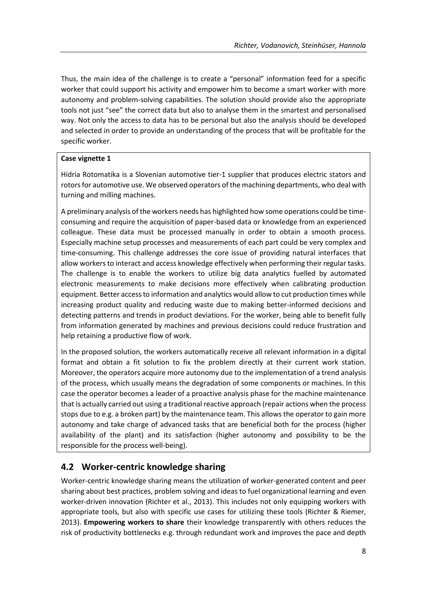Thus, the main idea of the challenge is to create a "personal" information feed for a specific worker that could support his activity and empower him to become a smart worker with more autonomy and problem-solving capabilities. The solution should provide also the appropriate tools not just "see" the correct data but also to analyse them in the smartest and personalised way. Not only the access to data has to be personal but also the analysis should be developed and selected in order to provide an understanding of the process that will be profitable for the specific worker.

### **Case vignette 1**

Hidria Rotomatika is a Slovenian automotive tier-1 supplier that produces electric stators and rotors for automotive use. We observed operators of the machining departments, who deal with turning and milling machines.

A preliminary analysis of the workers needs has highlighted how some operations could be timeconsuming and require the acquisition of paper-based data or knowledge from an experienced colleague. These data must be processed manually in order to obtain a smooth process. Especially machine setup processes and measurements of each part could be very complex and time-consuming. This challenge addresses the core issue of providing natural interfaces that allow workers to interact and access knowledge effectively when performing their regular tasks. The challenge is to enable the workers to utilize big data analytics fuelled by automated electronic measurements to make decisions more effectively when calibrating production equipment. Better access to information and analytics would allow to cut production times while increasing product quality and reducing waste due to making better-informed decisions and detecting patterns and trends in product deviations. For the worker, being able to benefit fully from information generated by machines and previous decisions could reduce frustration and help retaining a productive flow of work.

In the proposed solution, the workers automatically receive all relevant information in a digital format and obtain a fit solution to fix the problem directly at their current work station. Moreover, the operators acquire more autonomy due to the implementation of a trend analysis of the process, which usually means the degradation of some components or machines. In this case the operator becomes a leader of a proactive analysis phase for the machine maintenance that is actually carried out using a traditional reactive approach (repair actions when the process stops due to e.g. a broken part) by the maintenance team. This allows the operator to gain more autonomy and take charge of advanced tasks that are beneficial both for the process (higher availability of the plant) and its satisfaction (higher autonomy and possibility to be the responsible for the process well-being).

## **4.2 Worker-centric knowledge sharing**

Worker-centric knowledge sharing means the utilization of worker-generated content and peer sharing about best practices, problem solving and ideas to fuel organizational learning and even worker-driven innovation (Richter et al., 2013). This includes not only equipping workers with appropriate tools, but also with specific use cases for utilizing these tools (Richter & Riemer, 2013). **Empowering workers to share** their knowledge transparently with others reduces the risk of productivity bottlenecks e.g. through redundant work and improves the pace and depth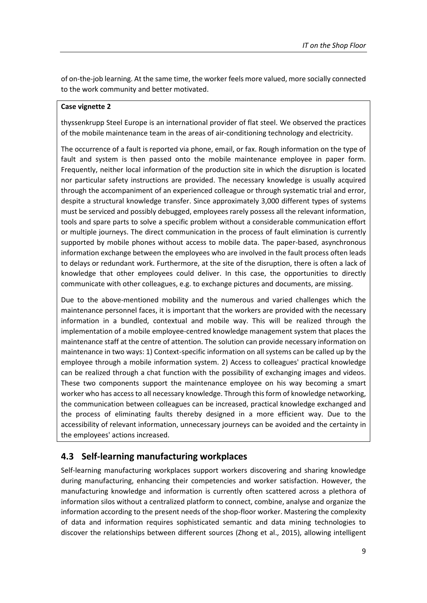of on-the-job learning. At the same time, the worker feels more valued, more socially connected to the work community and better motivated.

#### **Case vignette 2**

thyssenkrupp Steel Europe is an international provider of flat steel. We observed the practices of the mobile maintenance team in the areas of air-conditioning technology and electricity.

The occurrence of a fault is reported via phone, email, or fax. Rough information on the type of fault and system is then passed onto the mobile maintenance employee in paper form. Frequently, neither local information of the production site in which the disruption is located nor particular safety instructions are provided. The necessary knowledge is usually acquired through the accompaniment of an experienced colleague or through systematic trial and error, despite a structural knowledge transfer. Since approximately 3,000 different types of systems must be serviced and possibly debugged, employees rarely possess all the relevant information, tools and spare parts to solve a specific problem without a considerable communication effort or multiple journeys. The direct communication in the process of fault elimination is currently supported by mobile phones without access to mobile data. The paper-based, asynchronous information exchange between the employees who are involved in the fault process often leads to delays or redundant work. Furthermore, at the site of the disruption, there is often a lack of knowledge that other employees could deliver. In this case, the opportunities to directly communicate with other colleagues, e.g. to exchange pictures and documents, are missing.

Due to the above-mentioned mobility and the numerous and varied challenges which the maintenance personnel faces, it is important that the workers are provided with the necessary information in a bundled, contextual and mobile way. This will be realized through the implementation of a mobile employee-centred knowledge management system that places the maintenance staff at the centre of attention. The solution can provide necessary information on maintenance in two ways: 1) Context-specific information on all systems can be called up by the employee through a mobile information system. 2) Access to colleagues' practical knowledge can be realized through a chat function with the possibility of exchanging images and videos. These two components support the maintenance employee on his way becoming a smart worker who has access to all necessary knowledge. Through this form of knowledge networking, the communication between colleagues can be increased, practical knowledge exchanged and the process of eliminating faults thereby designed in a more efficient way. Due to the accessibility of relevant information, unnecessary journeys can be avoided and the certainty in the employees' actions increased.

### **4.3 Self-learning manufacturing workplaces**

Self-learning manufacturing workplaces support workers discovering and sharing knowledge during manufacturing, enhancing their competencies and worker satisfaction. However, the manufacturing knowledge and information is currently often scattered across a plethora of information silos without a centralized platform to connect, combine, analyse and organize the information according to the present needs of the shop-floor worker. Mastering the complexity of data and information requires sophisticated semantic and data mining technologies to discover the relationships between different sources (Zhong et al., 2015), allowing intelligent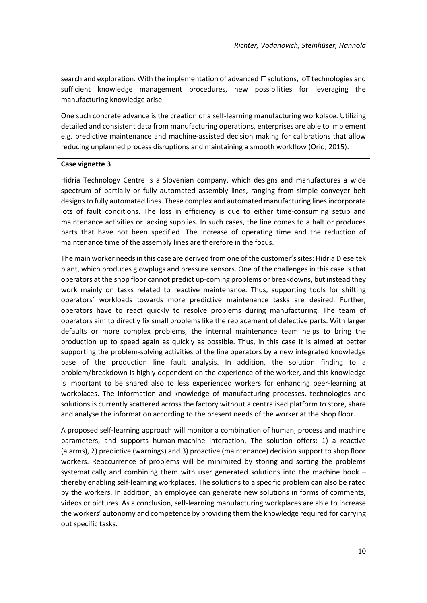search and exploration. With the implementation of advanced IT solutions, IoT technologies and sufficient knowledge management procedures, new possibilities for leveraging the manufacturing knowledge arise.

One such concrete advance is the creation of a self-learning manufacturing workplace. Utilizing detailed and consistent data from manufacturing operations, enterprises are able to implement e.g. predictive maintenance and machine-assisted decision making for calibrations that allow reducing unplanned process disruptions and maintaining a smooth workflow (Orio, 2015).

### **Case vignette 3**

Hidria Technology Centre is a Slovenian company, which designs and manufactures a wide spectrum of partially or fully automated assembly lines, ranging from simple conveyer belt designs to fully automated lines. These complex and automated manufacturing lines incorporate lots of fault conditions. The loss in efficiency is due to either time-consuming setup and maintenance activities or lacking supplies. In such cases, the line comes to a halt or produces parts that have not been specified. The increase of operating time and the reduction of maintenance time of the assembly lines are therefore in the focus.

The main worker needs in this case are derived from one of the customer's sites: Hidria Dieseltek plant, which produces glowplugs and pressure sensors. One of the challenges in this case is that operators at the shop floor cannot predict up-coming problems or breakdowns, but instead they work mainly on tasks related to reactive maintenance. Thus, supporting tools for shifting operators' workloads towards more predictive maintenance tasks are desired. Further, operators have to react quickly to resolve problems during manufacturing. The team of operators aim to directly fix small problems like the replacement of defective parts. With larger defaults or more complex problems, the internal maintenance team helps to bring the production up to speed again as quickly as possible. Thus, in this case it is aimed at better supporting the problem-solving activities of the line operators by a new integrated knowledge base of the production line fault analysis. In addition, the solution finding to a problem/breakdown is highly dependent on the experience of the worker, and this knowledge is important to be shared also to less experienced workers for enhancing peer-learning at workplaces. The information and knowledge of manufacturing processes, technologies and solutions is currently scattered across the factory without a centralised platform to store, share and analyse the information according to the present needs of the worker at the shop floor.

A proposed self-learning approach will monitor a combination of human, process and machine parameters, and supports human-machine interaction. The solution offers: 1) a reactive (alarms), 2) predictive (warnings) and 3) proactive (maintenance) decision support to shop floor workers. Reoccurrence of problems will be minimized by storing and sorting the problems systematically and combining them with user generated solutions into the machine book – thereby enabling self-learning workplaces. The solutions to a specific problem can also be rated by the workers. In addition, an employee can generate new solutions in forms of comments, videos or pictures. As a conclusion, self-learning manufacturing workplaces are able to increase the workers' autonomy and competence by providing them the knowledge required for carrying out specific tasks.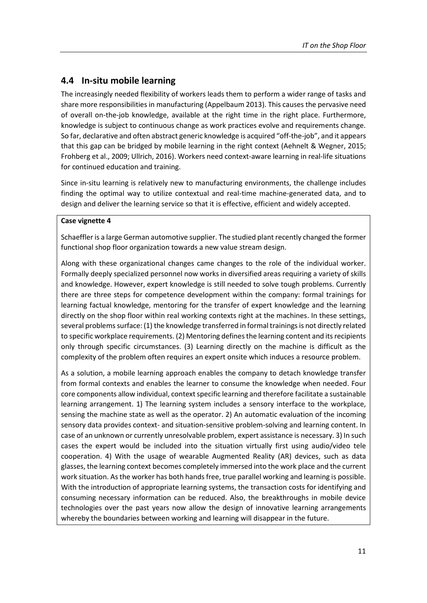### **4.4 In-situ mobile learning**

The increasingly needed flexibility of workers leads them to perform a wider range of tasks and share more responsibilities in manufacturing (Appelbaum 2013). This causes the pervasive need of overall on-the-job knowledge, available at the right time in the right place. Furthermore, knowledge is subject to continuous change as work practices evolve and requirements change. So far, declarative and often abstract generic knowledge is acquired "off-the-job", and it appears that this gap can be bridged by mobile learning in the right context (Aehnelt & Wegner, 2015; Frohberg et al., 2009; Ullrich, 2016). Workers need context-aware learning in real-life situations for continued education and training.

Since in-situ learning is relatively new to manufacturing environments, the challenge includes finding the optimal way to utilize contextual and real-time machine-generated data, and to design and deliver the learning service so that it is effective, efficient and widely accepted.

### **Case vignette 4**

Schaeffler is a large German automotive supplier. The studied plant recently changed the former functional shop floor organization towards a new value stream design.

Along with these organizational changes came changes to the role of the individual worker. Formally deeply specialized personnel now works in diversified areas requiring a variety of skills and knowledge. However, expert knowledge is still needed to solve tough problems. Currently there are three steps for competence development within the company: formal trainings for learning factual knowledge, mentoring for the transfer of expert knowledge and the learning directly on the shop floor within real working contexts right at the machines. In these settings, several problems surface: (1) the knowledge transferred in formal trainings is not directly related to specific workplace requirements. (2) Mentoring defines the learning content and its recipients only through specific circumstances. (3) Learning directly on the machine is difficult as the complexity of the problem often requires an expert onsite which induces a resource problem.

As a solution, a mobile learning approach enables the company to detach knowledge transfer from formal contexts and enables the learner to consume the knowledge when needed. Four core components allow individual, context specific learning and therefore facilitate a sustainable learning arrangement. 1) The learning system includes a sensory interface to the workplace, sensing the machine state as well as the operator. 2) An automatic evaluation of the incoming sensory data provides context- and situation-sensitive problem-solving and learning content. In case of an unknown or currently unresolvable problem, expert assistance is necessary. 3) In such cases the expert would be included into the situation virtually first using audio/video tele cooperation. 4) With the usage of wearable Augmented Reality (AR) devices, such as data glasses, the learning context becomes completely immersed into the work place and the current work situation. As the worker has both hands free, true parallel working and learning is possible. With the introduction of appropriate learning systems, the transaction costs for identifying and consuming necessary information can be reduced. Also, the breakthroughs in mobile device technologies over the past years now allow the design of innovative learning arrangements whereby the boundaries between working and learning will disappear in the future.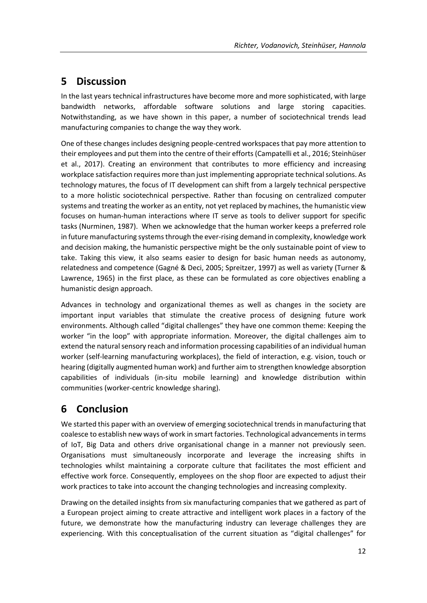# **5 Discussion**

In the last years technical infrastructures have become more and more sophisticated, with large bandwidth networks, affordable software solutions and large storing capacities. Notwithstanding, as we have shown in this paper, a number of sociotechnical trends lead manufacturing companies to change the way they work.

One of these changes includes designing people-centred workspaces that pay more attention to their employees and put them into the centre of their efforts (Campatelli et al., 2016; Steinhüser et al., 2017). Creating an environment that contributes to more efficiency and increasing workplace satisfaction requires more than just implementing appropriate technical solutions. As technology matures, the focus of IT development can shift from a largely technical perspective to a more holistic sociotechnical perspective. Rather than focusing on centralized computer systems and treating the worker as an entity, not yet replaced by machines, the humanistic view focuses on human-human interactions where IT serve as tools to deliver support for specific tasks (Nurminen, 1987). When we acknowledge that the human worker keeps a preferred role in future manufacturing systems through the ever-rising demand in complexity, knowledge work and decision making, the humanistic perspective might be the only sustainable point of view to take. Taking this view, it also seams easier to design for basic human needs as autonomy, relatedness and competence (Gagné & Deci, 2005; Spreitzer, 1997) as well as variety (Turner & Lawrence, 1965) in the first place, as these can be formulated as core objectives enabling a humanistic design approach.

Advances in technology and organizational themes as well as changes in the society are important input variables that stimulate the creative process of designing future work environments. Although called "digital challenges" they have one common theme: Keeping the worker "in the loop" with appropriate information. Moreover, the digital challenges aim to extend the natural sensory reach and information processing capabilities of an individual human worker (self-learning manufacturing workplaces), the field of interaction, e.g. vision, touch or hearing (digitally augmented human work) and further aim to strengthen knowledge absorption capabilities of individuals (in-situ mobile learning) and knowledge distribution within communities (worker-centric knowledge sharing).

# **6 Conclusion**

We started this paper with an overview of emerging sociotechnical trends in manufacturing that coalesce to establish new ways of work in smart factories. Technological advancements in terms of IoT, Big Data and others drive organisational change in a manner not previously seen. Organisations must simultaneously incorporate and leverage the increasing shifts in technologies whilst maintaining a corporate culture that facilitates the most efficient and effective work force. Consequently, employees on the shop floor are expected to adjust their work practices to take into account the changing technologies and increasing complexity.

Drawing on the detailed insights from six manufacturing companies that we gathered as part of a European project aiming to create attractive and intelligent work places in a factory of the future, we demonstrate how the manufacturing industry can leverage challenges they are experiencing. With this conceptualisation of the current situation as "digital challenges" for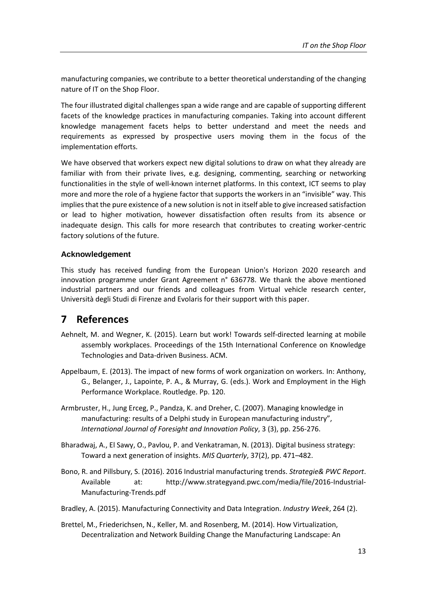manufacturing companies, we contribute to a better theoretical understanding of the changing nature of IT on the Shop Floor.

The four illustrated digital challenges span a wide range and are capable of supporting different facets of the knowledge practices in manufacturing companies. Taking into account different knowledge management facets helps to better understand and meet the needs and requirements as expressed by prospective users moving them in the focus of the implementation efforts.

We have observed that workers expect new digital solutions to draw on what they already are familiar with from their private lives, e.g. designing, commenting, searching or networking functionalities in the style of well-known internet platforms. In this context, ICT seems to play more and more the role of a hygiene factor that supports the workers in an "invisible" way. This implies that the pure existence of a new solution is not in itself able to give increased satisfaction or lead to higher motivation, however dissatisfaction often results from its absence or inadequate design. This calls for more research that contributes to creating worker-centric factory solutions of the future.

### **Acknowledgement**

This study has received funding from the European Union's Horizon 2020 research and innovation programme under Grant Agreement n° 636778. We thank the above mentioned industrial partners and our friends and colleagues from Virtual vehicle research center, Università degli Studi di Firenze and Evolaris for their support with this paper.

## **7 References**

- Aehnelt, M. and Wegner, K. (2015). Learn but work! Towards self-directed learning at mobile assembly workplaces. Proceedings of the 15th International Conference on Knowledge Technologies and Data-driven Business. ACM.
- Appelbaum, E. (2013). The impact of new forms of work organization on workers. In: Anthony, G., Belanger, J., Lapointe, P. A., & Murray, G. (eds.). Work and Employment in the High Performance Workplace. Routledge. Pp. 120.
- Armbruster, H., Jung Erceg, P., Pandza, K. and Dreher, C. (2007). Managing knowledge in manufacturing: results of a Delphi study in European manufacturing industry", *International Journal of Foresight and Innovation Policy*, 3 (3), pp. 256-276.
- Bharadwaj, A., El Sawy, O., Pavlou, P. and Venkatraman, N. (2013). Digital business strategy: Toward a next generation of insights. *MIS Quarterly*, 37(2), pp. 471–482.
- Bono, R. and Pillsbury, S. (2016). 2016 Industrial manufacturing trends. *Strategie& PWC Report*. Available at: http://www.strategyand.pwc.com/media/file/2016-Industrial-Manufacturing-Trends.pdf
- Bradley, A. (2015). Manufacturing Connectivity and Data Integration. *Industry Week*, 264 (2).
- Brettel, M., Friederichsen, N., Keller, M. and Rosenberg, M. (2014). How Virtualization, Decentralization and Network Building Change the Manufacturing Landscape: An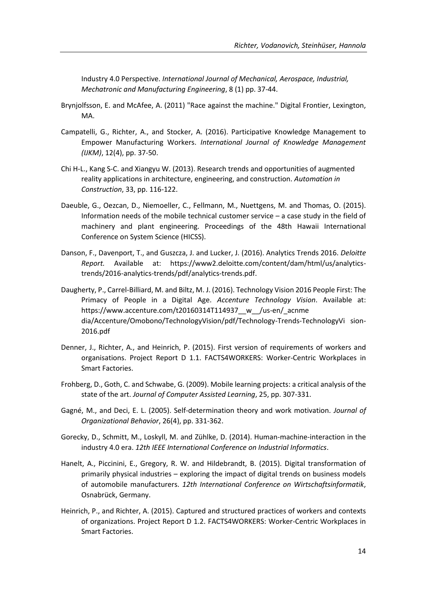Industry 4.0 Perspective. *International Journal of Mechanical, Aerospace, Industrial, Mechatronic and Manufacturing Engineering*, 8 (1) pp. 37-44.

- Brynjolfsson, E. and McAfee, A. (2011) "Race against the machine." Digital Frontier, Lexington, MA.
- Campatelli, G., Richter, A., and Stocker, A. (2016). Participative Knowledge Management to Empower Manufacturing Workers. *International Journal of Knowledge Management (IJKM)*, 12(4), pp. 37-50.
- Chi H-L., Kang S-C. and Xiangyu W. (2013). Research trends and opportunities of augmented reality applications in architecture, engineering, and construction. *Automation in Construction*, 33, pp. 116-122.
- Daeuble, G., Oezcan, D., Niemoeller, C., Fellmann, M., Nuettgens, M. and Thomas, O. (2015). Information needs of the mobile technical customer service – a case study in the field of machinery and plant engineering. Proceedings of the 48th Hawaii International Conference on System Science (HICSS).
- Danson, F., Davenport, T., and Guszcza, J. and Lucker, J. (2016). Analytics Trends 2016. *Deloitte Report.* Available at: https://www2.deloitte.com/content/dam/html/us/analyticstrends/2016-analytics-trends/pdf/analytics-trends.pdf.
- Daugherty, P., Carrel-Billiard, M. and Biltz, M. J. (2016). Technology Vision 2016 People First: The Primacy of People in a Digital Age. *Accenture Technology Vision*. Available at: https://www.accenture.com/t20160314T114937\_w\_\_/us-en/\_acnme dia/Accenture/Omobono/TechnologyVision/pdf/Technology-Trends-TechnologyVi sion-2016.pdf
- Denner, J., Richter, A., and Heinrich, P. (2015). First version of requirements of workers and organisations. Project Report D 1.1. FACTS4WORKERS: Worker-Centric Workplaces in Smart Factories.
- Frohberg, D., Goth, C. and Schwabe, G. (2009). Mobile learning projects: a critical analysis of the state of the art. *Journal of Computer Assisted Learning*, 25, pp. 307-331.
- Gagné, M., and Deci, E. L. (2005). Self‐determination theory and work motivation. *Journal of Organizational Behavior*, 26(4), pp. 331-362.
- Gorecky, D., Schmitt, M., Loskyll, M. and Zühlke, D. (2014). Human-machine-interaction in the industry 4.0 era. *12th IEEE International Conference on Industrial Informatics*.
- Hanelt, A., Piccinini, E., Gregory, R. W. and Hildebrandt, B. (2015). Digital transformation of primarily physical industries – exploring the impact of digital trends on business models of automobile manufacturers. *12th International Conference on Wirtschaftsinformatik*, Osnabrück, Germany.
- Heinrich, P., and Richter, A. (2015). Captured and structured practices of workers and contexts of organizations. Project Report D 1.2. FACTS4WORKERS: Worker-Centric Workplaces in Smart Factories.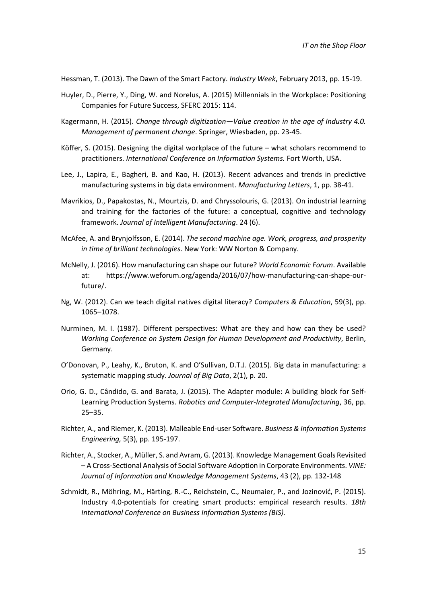Hessman, T. (2013). The Dawn of the Smart Factory. *Industry Week*, February 2013, pp. 15-19.

- Huyler, D., Pierre, Y., Ding, W. and Norelus, A. (2015) Millennials in the Workplace: Positioning Companies for Future Success, SFERC 2015: 114.
- Kagermann, H. (2015). *Change through digitization—Value creation in the age of Industry 4.0. Management of permanent change*. Springer, Wiesbaden, pp. 23-45.
- Köffer, S. (2015). Designing the digital workplace of the future what scholars recommend to practitioners. *International Conference on Information Systems.* Fort Worth, USA.
- Lee, J., Lapira, E., Bagheri, B. and Kao, H. (2013). Recent advances and trends in predictive manufacturing systems in big data environment. *Manufacturing Letters*, 1, pp. 38-41.
- Mavrikios, D., Papakostas, N., Mourtzis, D. and Chryssolouris, G. (2013). On industrial learning and training for the factories of the future: a conceptual, cognitive and technology framework. *Journal of Intelligent Manufacturing*. 24 (6).
- McAfee, A. and Brynjolfsson, E. (2014). *The second machine age. Work, progress, and prosperity in time of brilliant technologies*. New York: WW Norton & Company.
- McNelly, J. (2016). How manufacturing can shape our future? *World Economic Forum*. Available at: https://www.weforum.org/agenda/2016/07/how-manufacturing-can-shape-ourfuture/.
- Ng, W. (2012). Can we teach digital natives digital literacy? *Computers & Education*, 59(3), pp. 1065–1078.
- Nurminen, M. I. (1987). Different perspectives: What are they and how can they be used? *Working Conference on System Design for Human Development and Productivity*, Berlin, Germany.
- O'Donovan, P., Leahy, K., Bruton, K. and O'Sullivan, D.T.J. (2015). Big data in manufacturing: a systematic mapping study. *Journal of Big Data*, 2(1), p. 20.
- Orio, G. D., Cândido, G. and Barata, J. (2015). The Adapter module: A building block for Self-Learning Production Systems. *Robotics and Computer-Integrated Manufacturing*, 36, pp. 25–35.
- Richter, A., and Riemer, K. (2013). Malleable End-user Software. *Business & Information Systems Engineering,* 5(3), pp. 195-197.
- Richter, A., Stocker, A., Müller, S. and Avram, G. (2013). Knowledge Management Goals Revisited – A Cross-Sectional Analysis of Social Software Adoption in Corporate Environments. *VINE: Journal of Information and Knowledge Management Systems*, 43 (2), pp. 132-148
- Schmidt, R., Möhring, M., Härting, R.-C., Reichstein, C., Neumaier, P., and Jozinović, P. (2015). Industry 4.0-potentials for creating smart products: empirical research results. *18th International Conference on Business Information Systems (BIS).*